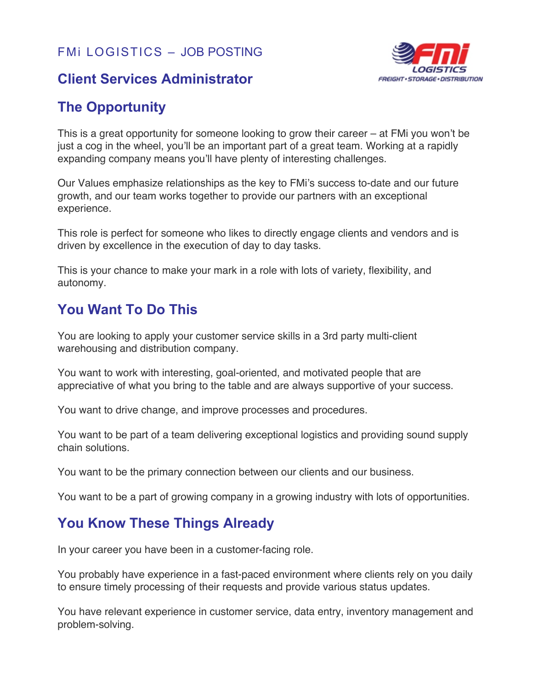

#### **Client Services Administrator**

# **The Opportunity**

This is a great opportunity for someone looking to grow their career – at FMi you won't be just a cog in the wheel, you'll be an important part of a great team. Working at a rapidly expanding company means you'll have plenty of interesting challenges.

Our Values emphasize relationships as the key to FMi's success to-date and our future growth, and our team works together to provide our partners with an exceptional experience.

This role is perfect for someone who likes to directly engage clients and vendors and is driven by excellence in the execution of day to day tasks.

This is your chance to make your mark in a role with lots of variety, flexibility, and autonomy.

# **You Want To Do This**

You are looking to apply your customer service skills in a 3rd party multi-client warehousing and distribution company.

You want to work with interesting, goal-oriented, and motivated people that are appreciative of what you bring to the table and are always supportive of your success.

You want to drive change, and improve processes and procedures.

You want to be part of a team delivering exceptional logistics and providing sound supply chain solutions.

You want to be the primary connection between our clients and our business.

You want to be a part of growing company in a growing industry with lots of opportunities.

# **You Know These Things Already**

In your career you have been in a customer-facing role.

You probably have experience in a fast-paced environment where clients rely on you daily to ensure timely processing of their requests and provide various status updates.

You have relevant experience in customer service, data entry, inventory management and problem-solving.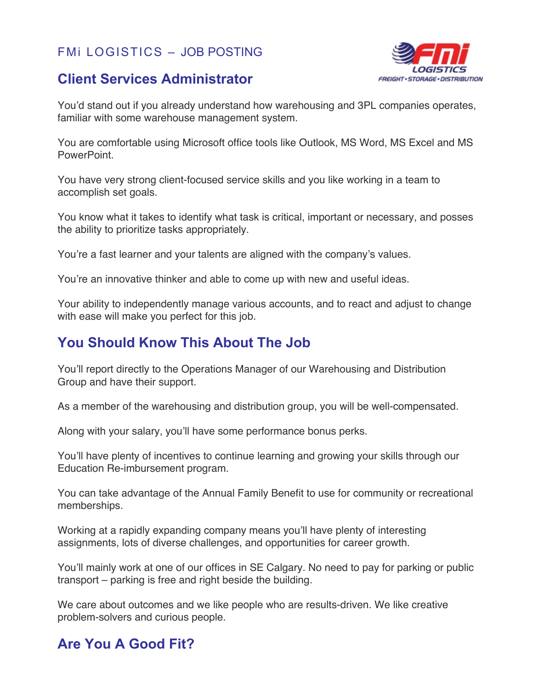#### **Client Services Administrator**



You'd stand out if you already understand how warehousing and 3PL companies operates, familiar with some warehouse management system.

You are comfortable using Microsoft office tools like Outlook, MS Word, MS Excel and MS PowerPoint.

You have very strong client-focused service skills and you like working in a team to accomplish set goals.

You know what it takes to identify what task is critical, important or necessary, and posses the ability to prioritize tasks appropriately.

You're a fast learner and your talents are aligned with the company's values.

You're an innovative thinker and able to come up with new and useful ideas.

Your ability to independently manage various accounts, and to react and adjust to change with ease will make you perfect for this job.

# **You Should Know This About The Job**

You'll report directly to the Operations Manager of our Warehousing and Distribution Group and have their support.

As a member of the warehousing and distribution group, you will be well-compensated.

Along with your salary, you'll have some performance bonus perks.

You'll have plenty of incentives to continue learning and growing your skills through our Education Re-imbursement program.

You can take advantage of the Annual Family Benefit to use for community or recreational memberships.

Working at a rapidly expanding company means you'll have plenty of interesting assignments, lots of diverse challenges, and opportunities for career growth.

You'll mainly work at one of our offices in SE Calgary. No need to pay for parking or public transport – parking is free and right beside the building.

We care about outcomes and we like people who are results-driven. We like creative problem-solvers and curious people.

# **Are You A Good Fit?**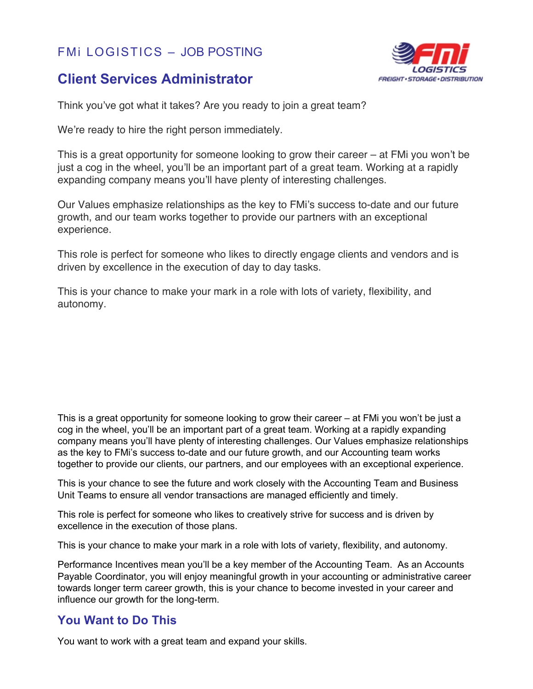### **Client Services Administrator**



Think you've got what it takes? Are you ready to join a great team?

We're ready to hire the right person immediately.

This is a great opportunity for someone looking to grow their career – at FMi you won't be just a cog in the wheel, you'll be an important part of a great team. Working at a rapidly expanding company means you'll have plenty of interesting challenges.

Our Values emphasize relationships as the key to FMi's success to-date and our future growth, and our team works together to provide our partners with an exceptional experience.

This role is perfect for someone who likes to directly engage clients and vendors and is driven by excellence in the execution of day to day tasks.

This is your chance to make your mark in a role with lots of variety, flexibility, and autonomy.

This is a great opportunity for someone looking to grow their career – at FMi you won't be just a cog in the wheel, you'll be an important part of a great team. Working at a rapidly expanding company means you'll have plenty of interesting challenges. Our Values emphasize relationships as the key to FMi's success to-date and our future growth, and our Accounting team works together to provide our clients, our partners, and our employees with an exceptional experience.

This is your chance to see the future and work closely with the Accounting Team and Business Unit Teams to ensure all vendor transactions are managed efficiently and timely.

This role is perfect for someone who likes to creatively strive for success and is driven by excellence in the execution of those plans.

This is your chance to make your mark in a role with lots of variety, flexibility, and autonomy.

Performance Incentives mean you'll be a key member of the Accounting Team. As an Accounts Payable Coordinator, you will enjoy meaningful growth in your accounting or administrative career towards longer term career growth, this is your chance to become invested in your career and influence our growth for the long-term.

#### **You Want to Do This**

You want to work with a great team and expand your skills.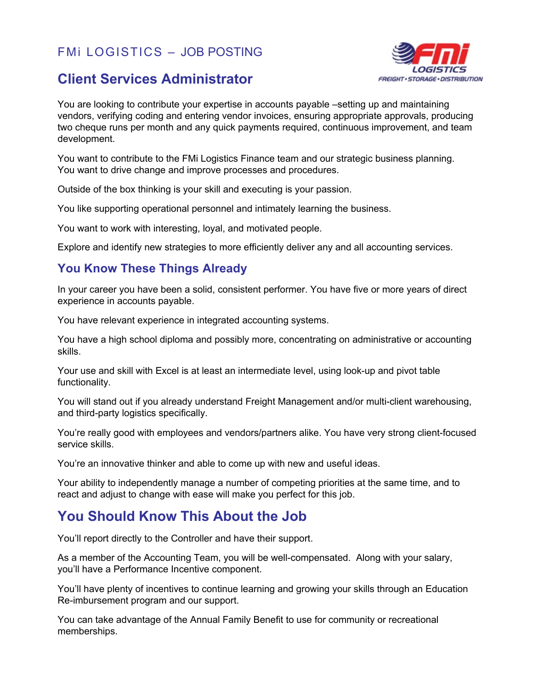### **Client Services Administrator**



You are looking to contribute your expertise in accounts payable –setting up and maintaining vendors, verifying coding and entering vendor invoices, ensuring appropriate approvals, producing two cheque runs per month and any quick payments required, continuous improvement, and team development.

You want to contribute to the FMi Logistics Finance team and our strategic business planning. You want to drive change and improve processes and procedures.

Outside of the box thinking is your skill and executing is your passion.

You like supporting operational personnel and intimately learning the business.

You want to work with interesting, loyal, and motivated people.

Explore and identify new strategies to more efficiently deliver any and all accounting services.

#### **You Know These Things Already**

In your career you have been a solid, consistent performer. You have five or more years of direct experience in accounts payable.

You have relevant experience in integrated accounting systems.

You have a high school diploma and possibly more, concentrating on administrative or accounting skills.

Your use and skill with Excel is at least an intermediate level, using look-up and pivot table functionality.

You will stand out if you already understand Freight Management and/or multi-client warehousing, and third-party logistics specifically.

You're really good with employees and vendors/partners alike. You have very strong client-focused service skills.

You're an innovative thinker and able to come up with new and useful ideas.

Your ability to independently manage a number of competing priorities at the same time, and to react and adjust to change with ease will make you perfect for this job.

# **You Should Know This About the Job**

You'll report directly to the Controller and have their support.

As a member of the Accounting Team, you will be well-compensated. Along with your salary, you'll have a Performance Incentive component.

You'll have plenty of incentives to continue learning and growing your skills through an Education Re-imbursement program and our support.

You can take advantage of the Annual Family Benefit to use for community or recreational memberships.